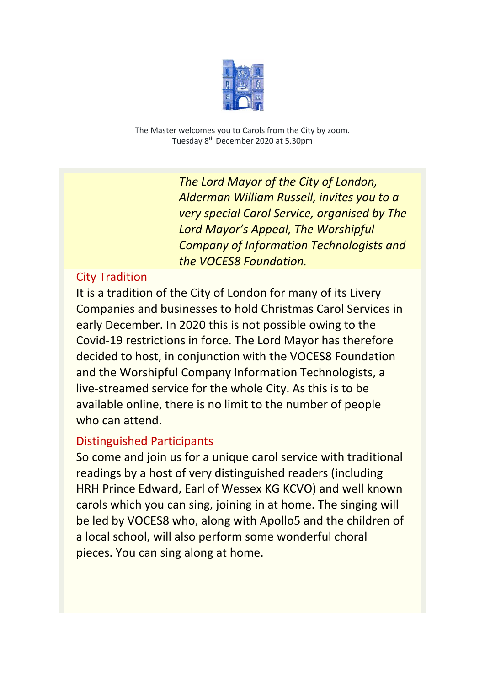

The Master welcomes you to Carols from the City by zoom. Tuesday 8th December 2020 at 5.30pm

> *The Lord Mayor of the City of London, Alderman William Russell, invites you to a very special Carol Service, organised by The Lord Mayor's Appeal, The Worshipful Company of Information Technologists and the VOCES8 Foundation.*

## City Tradition

It is a tradition of the City of London for many of its Livery Companies and businesses to hold Christmas Carol Services in early December. In 2020 this is not possible owing to the Covid-19 restrictions in force. The Lord Mayor has therefore decided to host, in conjunction with the VOCES8 Foundation and the Worshipful Company Information Technologists, a live-streamed service for the whole City. As this is to be available online, there is no limit to the number of people who can attend.

## Distinguished Participants

So come and join us for a unique carol service with traditional readings by a host of very distinguished readers (including HRH Prince Edward, Earl of Wessex KG KCVO) and well known carols which you can sing, joining in at home. The singing will be led by VOCES8 who, along with Apollo5 and the children of a local school, will also perform some wonderful choral pieces. You can sing along at home.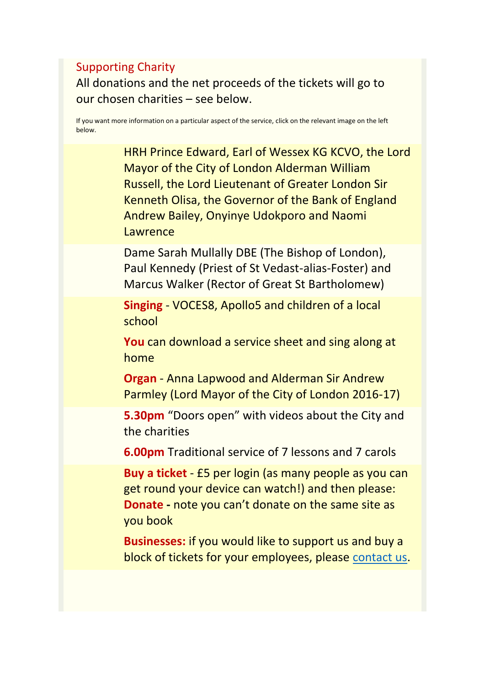## Supporting Charity All donations and the net proceeds of the tickets will go to our chosen charities – see below.

If you want more information on a particular aspect of the service, click on the relevant image on the left below.

> HRH Prince Edward, Earl of Wessex KG KCVO, the Lord Mayor of the City of London Alderman William Russell, the Lord Lieutenant of Greater London Sir Kenneth Olisa, the Governor of the Bank of England Andrew Bailey, Onyinye Udokporo and Naomi **Lawrence**

Dame Sarah Mullally DBE (The Bishop of London), Paul Kennedy (Priest of St Vedast-alias-Foster) and Marcus Walker (Rector of Great St Bartholomew)

**Singing** - VOCES8, Apollo5 and children of a local school

**You** can download a service sheet and sing along at home

**Organ** - Anna Lapwood and Alderman Sir Andrew Parmley (Lord Mayor of the City of London 2016-17)

**5.30pm** "Doors open" with videos about the City and the charities

**6.00pm** Traditional service of 7 lessons and 7 carols

**Buy a ticket** - £5 per login (as many people as you can get round your device can watch!) and then please: **Donate -** note you can't donate on the same site as you book

**Businesses:** if you would like to support us and buy a block of tickets for your employees, please [contact us.](mailto:contact@carolsforthecity.org?subject=Interested%20in%20Becoming%20a%20Corporate%20Supporter)